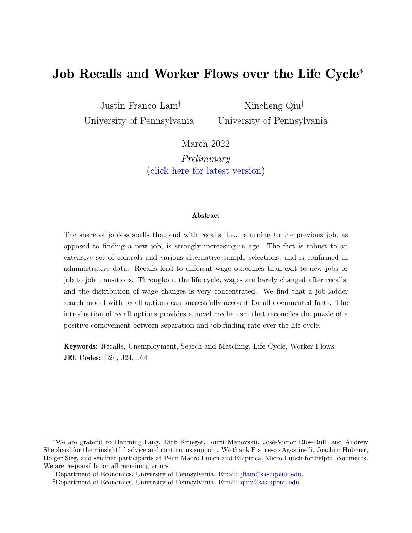# **Job Recalls and Worker Flows over the Life Cycle**<sup>∗</sup>

Justin Franco Lam† University of Pennsylvania

Xincheng Qiu‡ University of Pennsylvania

March 2022

*Preliminary* ([click here for latest version\)](https://www.xinchengqiu.com/publication/recall_lifecycle/recall_lifecycle.pdf)

#### **Abstract**

The share of jobless spells that end with recalls, i.e., returning to the previous job, as opposed to finding a new job, is strongly increasing in age. The fact is robust to an extensive set of controls and various alternative sample selections, and is confirmed in administrative data. Recalls lead to different wage outcomes than exit to new jobs or job to job transitions. Throughout the life cycle, wages are barely changed after recalls, and the distribution of wage changes is very concentrated. We find that a job-ladder search model with recall options can successfully account for all documented facts. The introduction of recall options provides a novel mechanism that reconciles the puzzle of a positive comovement between separation and job finding rate over the life cycle.

**Keywords:** Recalls, Unemployment, Search and Matching, Life Cycle, Worker Flows **JEL Codes:** E24, J24, J64

<sup>\*</sup>We are grateful to Hanming Fang, Dirk Krueger, Iourii Manovskii, José-Víctor Ríos-Rull, and Andrew Shephard for their insightful advice and continuous support. We thank Francesco Agostinelli, Joachim Hubmer, Holger Sieg, and seminar participants at Penn Macro Lunch and Empirical Micro Lunch for helpful comments. We are responsible for all remaining errors.

<sup>†</sup>Department of Economics, University of Pennsylvania. Email: [jflam@sas.upenn.edu.](mailto:jflam@sas.upenn.edu)

<sup>‡</sup>Department of Economics, University of Pennsylvania. Email: [qiux@sas.upenn.edu.](mailto:qiux@sas.upenn.edu)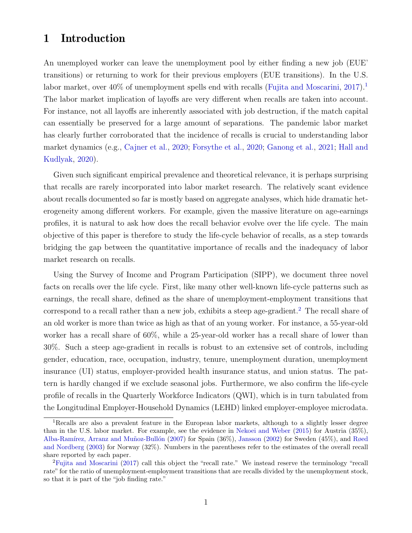## **1 Introduction**

An unemployed worker can leave the unemployment pool by either finding a new job (EUE' transitions) or returning to work for their previous employers (EUE transitions). In the U.S. labor market, over  $40\%$  of unemployment spells end with recalls [\(Fujita and Moscarini](#page-25-0), [2017\)](#page-25-0).<sup>[1](#page-1-0)</sup> The labor market implication of layoffs are very different when recalls are taken into account. For instance, not all layoffs are inherently associated with job destruction, if the match capital can essentially be preserved for a large amount of separations. The pandemic labor market has clearly further corroborated that the incidence of recalls is crucial to understanding labor market dynamics (e.g., [Cajner et al.,](#page-24-0) [2020](#page-24-0); [Forsythe et al.,](#page-24-1) [2020](#page-24-1); [Ganong et al.](#page-25-1), [2021;](#page-25-1) [Hall and](#page-25-2) [Kudlyak,](#page-25-2) [2020\)](#page-25-2).

Given such significant empirical prevalence and theoretical relevance, it is perhaps surprising that recalls are rarely incorporated into labor market research. The relatively scant evidence about recalls documented so far is mostly based on aggregate analyses, which hide dramatic heterogeneity among different workers. For example, given the massive literature on age-earnings profiles, it is natural to ask how does the recall behavior evolve over the life cycle. The main objective of this paper is therefore to study the life-cycle behavior of recalls, as a step towards bridging the gap between the quantitative importance of recalls and the inadequacy of labor market research on recalls.

Using the Survey of Income and Program Participation (SIPP), we document three novel facts on recalls over the life cycle. First, like many other well-known life-cycle patterns such as earnings, the recall share, defined as the share of unemployment-employment transitions that correspond to a recall rather than a new job, exhibits a steep age-gradient.<sup>[2](#page-1-1)</sup> The recall share of an old worker is more than twice as high as that of an young worker. For instance, a 55-year-old worker has a recall share of 60%, while a 25-year-old worker has a recall share of lower than 30%. Such a steep age-gradient in recalls is robust to an extensive set of controls, including gender, education, race, occupation, industry, tenure, unemployment duration, unemployment insurance (UI) status, employer-provided health insurance status, and union status. The pattern is hardly changed if we exclude seasonal jobs. Furthermore, we also confirm the life-cycle profile of recalls in the Quarterly Workforce Indicators (QWI), which is in turn tabulated from the Longitudinal Employer-Household Dynamics (LEHD) linked employer-employee microdata.

<span id="page-1-0"></span><sup>&</sup>lt;sup>1</sup>Recalls are also a prevalent feature in the European labor markets, although to a slightly lesser degree than in the U.S. labor market. For example, see the evidence in [Nekoei and Weber](#page-25-3) [\(2015](#page-25-3)) for Austria (35%), Alba-Ramírez, Arranz and Muñoz-Bullón ([2007](#page-24-2)) for Spain  $(36\%)$ , [Jansson](#page-25-4) ([2002\)](#page-25-4) for Sweden (45%), and [Røed](#page-25-5) [and Nordberg](#page-25-5) [\(2003](#page-25-5)) for Norway (32%). Numbers in the parentheses refer to the estimates of the overall recall share reported by each paper.

<span id="page-1-1"></span><sup>&</sup>lt;sup>2</sup>[Fujita and Moscarini](#page-25-0) ([2017\)](#page-25-0) call this object the "recall rate." We instead reserve the terminology "recall" rate" for the ratio of unemployment-employment transitions that are recalls divided by the unemployment stock, so that it is part of the "job finding rate."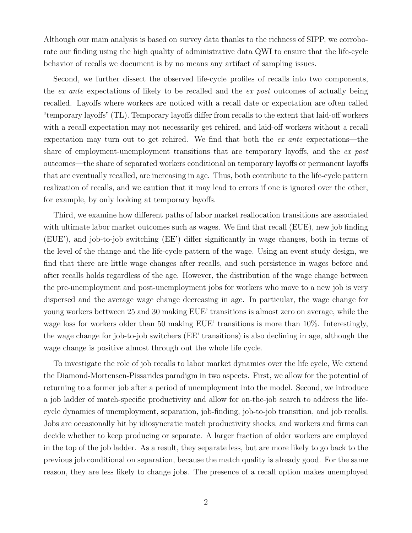Although our main analysis is based on survey data thanks to the richness of SIPP, we corroborate our finding using the high quality of administrative data QWI to ensure that the life-cycle behavior of recalls we document is by no means any artifact of sampling issues.

Second, we further dissect the observed life-cycle profiles of recalls into two components, the *ex ante* expectations of likely to be recalled and the *ex post* outcomes of actually being recalled. Layoffs where workers are noticed with a recall date or expectation are often called "temporary layoffs" (TL). Temporary layoffs differ from recalls to the extent that laid-off workers with a recall expectation may not necessarily get rehired, and laid-off workers without a recall expectation may turn out to get rehired. We find that both the *ex ante* expectations—the share of employment-unemployment transitions that are temporary layoffs, and the *ex post* outcomes—the share of separated workers conditional on temporary layoffs or permanent layoffs that are eventually recalled, are increasing in age. Thus, both contribute to the life-cycle pattern realization of recalls, and we caution that it may lead to errors if one is ignored over the other, for example, by only looking at temporary layoffs.

Third, we examine how different paths of labor market reallocation transitions are associated with ultimate labor market outcomes such as wages. We find that recall (EUE), new job finding (EUE'), and job-to-job switching (EE') differ significantly in wage changes, both in terms of the level of the change and the life-cycle pattern of the wage. Using an event study design, we find that there are little wage changes after recalls, and such persistence in wages before and after recalls holds regardless of the age. However, the distribution of the wage change between the pre-unemployment and post-unemployment jobs for workers who move to a new job is very dispersed and the average wage change decreasing in age. In particular, the wage change for young workers bettween 25 and 30 making EUE' transitions is almost zero on average, while the wage loss for workers older than 50 making EUE' transitions is more than 10%. Interestingly, the wage change for job-to-job switchers (EE' transitions) is also declining in age, although the wage change is positive almost through out the whole life cycle.

To investigate the role of job recalls to labor market dynamics over the life cycle, We extend the Diamond-Mortensen-Pissarides paradigm in two aspects. First, we allow for the potential of returning to a former job after a period of unemployment into the model. Second, we introduce a job ladder of match-specific productivity and allow for on-the-job search to address the lifecycle dynamics of unemployment, separation, job-finding, job-to-job transition, and job recalls. Jobs are occasionally hit by idiosyncratic match productivity shocks, and workers and firms can decide whether to keep producing or separate. A larger fraction of older workers are employed in the top of the job ladder. As a result, they separate less, but are more likely to go back to the previous job conditional on separation, because the match quality is already good. For the same reason, they are less likely to change jobs. The presence of a recall option makes unemployed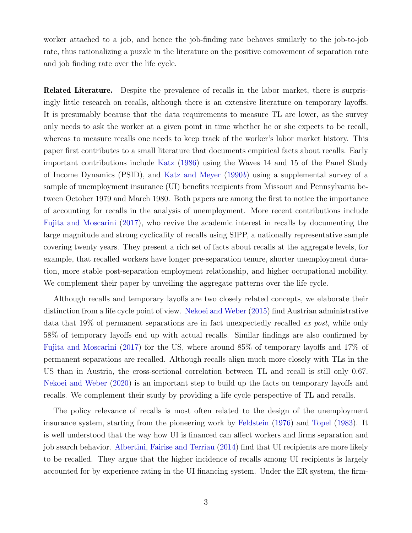worker attached to a job, and hence the job-finding rate behaves similarly to the job-to-job rate, thus rationalizing a puzzle in the literature on the positive comovement of separation rate and job finding rate over the life cycle.

**Related Literature.** Despite the prevalence of recalls in the labor market, there is surprisingly little research on recalls, although there is an extensive literature on temporary layoffs. It is presumably because that the data requirements to measure TL are lower, as the survey only needs to ask the worker at a given point in time whether he or she expects to be recall, whereas to measure recalls one needs to keep track of the worker's labor market history. This paper first contributes to a small literature that documents empirical facts about recalls. Early important contributions include [Katz](#page-25-6) ([1986\)](#page-25-6) using the Waves 14 and 15 of the Panel Study of Income Dynamics (PSID), and [Katz and Meyer](#page-25-7) [\(1990](#page-25-7)*b*) using a supplemental survey of a sample of unemployment insurance (UI) benefits recipients from Missouri and Pennsylvania between October 1979 and March 1980. Both papers are among the first to notice the importance of accounting for recalls in the analysis of unemployment. More recent contributions include [Fujita and Moscarini](#page-25-0) [\(2017](#page-25-0)), who revive the academic interest in recalls by documenting the large magnitude and strong cyclicality of recalls using SIPP, a nationally representative sample covering twenty years. They present a rich set of facts about recalls at the aggregate levels, for example, that recalled workers have longer pre-separation tenure, shorter unemployment duration, more stable post-separation employment relationship, and higher occupational mobility. We complement their paper by unveiling the aggregate patterns over the life cycle.

Although recalls and temporary layoffs are two closely related concepts, we elaborate their distinction from a life cycle point of view. [Nekoei and Weber](#page-25-3) ([2015](#page-25-3)) find Austrian administrative data that 19% of permanent separations are in fact unexpectedly recalled *ex post*, while only 58% of temporary layoffs end up with actual recalls. Similar findings are also confirmed by [Fujita and Moscarini](#page-25-0) [\(2017\)](#page-25-0) for the US, where around 85% of temporary layoffs and 17% of permanent separations are recalled. Although recalls align much more closely with TLs in the US than in Austria, the cross-sectional correlation between TL and recall is still only 0.67. [Nekoei and Weber](#page-25-8) ([2020](#page-25-8)) is an important step to build up the facts on temporary layoffs and recalls. We complement their study by providing a life cycle perspective of TL and recalls.

The policy relevance of recalls is most often related to the design of the unemployment insurance system, starting from the pioneering work by [Feldstein](#page-24-3) ([1976\)](#page-24-3) and [Topel](#page-26-0) [\(1983\)](#page-26-0). It is well understood that the way how UI is financed can affect workers and firms separation and job search behavior. [Albertini, Fairise and Terriau](#page-24-4) ([2014](#page-24-4)) find that UI recipients are more likely to be recalled. They argue that the higher incidence of recalls among UI recipients is largely accounted for by experience rating in the UI financing system. Under the ER system, the firm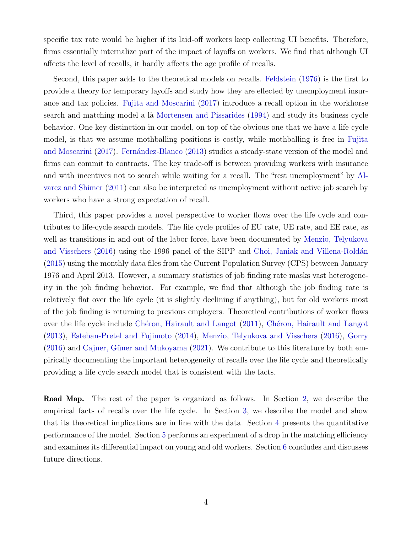specific tax rate would be higher if its laid-off workers keep collecting UI benefits. Therefore, firms essentially internalize part of the impact of layoffs on workers. We find that although UI affects the level of recalls, it hardly affects the age profile of recalls.

Second, this paper adds to the theoretical models on recalls. [Feldstein](#page-24-3) ([1976](#page-24-3)) is the first to provide a theory for temporary layoffs and study how they are effected by unemployment insurance and tax policies. [Fujita and Moscarini](#page-25-0) ([2017](#page-25-0)) introduce a recall option in the workhorse search and matching model a là [Mortensen and Pissarides](#page-25-9) [\(1994\)](#page-25-9) and study its business cycle behavior. One key distinction in our model, on top of the obvious one that we have a life cycle model, is that we assume mothballing positions is costly, while mothballing is free in [Fujita](#page-25-0) [and Moscarini](#page-25-0) [\(2017\)](#page-25-0). Fernández-Blanco [\(2013\)](#page-24-5) studies a steady-state version of the model and firms can commit to contracts. The key trade-off is between providing workers with insurance and with incentives not to search while waiting for a recall. The "rest unemployment" by [Al](#page-24-6)[varez and Shimer](#page-24-6) ([2011](#page-24-6)) can also be interpreted as unemployment without active job search by workers who have a strong expectation of recall.

Third, this paper provides a novel perspective to worker flows over the life cycle and contributes to life-cycle search models. The life cycle profiles of EU rate, UE rate, and EE rate, as well as transitions in and out of the labor force, have been documented by [Menzio, Telyukova](#page-25-10) [and Visschers](#page-25-10) [\(2016\)](#page-25-10) using the 1996 panel of the SIPP and Choi, Janiak and Villena-Roldán [\(2015\)](#page-24-7) using the monthly data files from the Current Population Survey (CPS) between January 1976 and April 2013. However, a summary statistics of job finding rate masks vast heterogeneity in the job finding behavior. For example, we find that although the job finding rate is relatively flat over the life cycle (it is slightly declining if anything), but for old workers most of the job finding is returning to previous employers. Theoretical contributions of worker flows over the life cycle include Chéron, Hairault and Langot ([2011](#page-24-8)), Chéron, Hairault and Langot [\(2013\)](#page-24-9), [Esteban-Pretel and Fujimoto](#page-24-10) [\(2014\)](#page-24-10), [Menzio, Telyukova and Visschers](#page-25-10) ([2016](#page-25-10)), [Gorry](#page-25-11)  $(2016)$  and Cajner, Güner and Mukoyama  $(2021)$ . We contribute to this literature by both empirically documenting the important heterogeneity of recalls over the life cycle and theoretically providing a life cycle search model that is consistent with the facts.

**Road Map.** The rest of the paper is organized as follows. In Section [2,](#page-5-0) we describe the empirical facts of recalls over the life cycle. In Section [3,](#page-13-0) we describe the model and show that its theoretical implications are in line with the data. Section [4](#page-19-0) presents the quantitative performance of the model. Section [5](#page-23-0) performs an experiment of a drop in the matching efficiency and examines its differential impact on young and old workers. Section [6](#page-23-1) concludes and discusses future directions.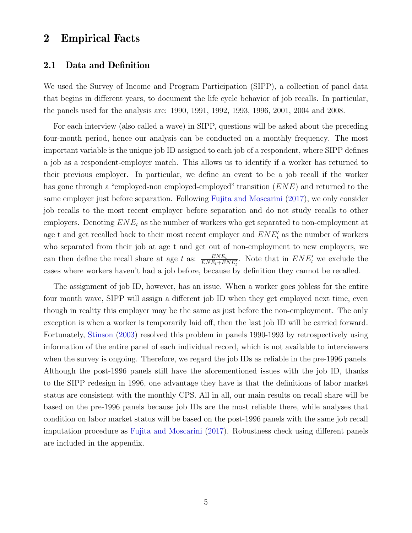### <span id="page-5-0"></span>**2 Empirical Facts**

#### **2.1 Data and Definition**

We used the Survey of Income and Program Participation (SIPP), a collection of panel data that begins in different years, to document the life cycle behavior of job recalls. In particular, the panels used for the analysis are: 1990, 1991, 1992, 1993, 1996, 2001, 2004 and 2008.

For each interview (also called a wave) in SIPP, questions will be asked about the preceding four-month period, hence our analysis can be conducted on a monthly frequency. The most important variable is the unique job ID assigned to each job of a respondent, where SIPP defines a job as a respondent-employer match. This allows us to identify if a worker has returned to their previous employer. In particular, we define an event to be a job recall if the worker has gone through a "employed-non employed-employed" transition (*ENE*) and returned to the same employer just before separation. Following [Fujita and Moscarini](#page-25-0) [\(2017\)](#page-25-0), we only consider job recalls to the most recent employer before separation and do not study recalls to other employers. Denoting *ENE<sup>t</sup>* as the number of workers who get separated to non-employment at age t and get recalled back to their most recent employer and *ENE′ t* as the number of workers who separated from their job at age t and get out of non-employment to new employers, we can then define the recall share at age *t* as:  $\frac{ENE_t}{ENE_t+ENE'_t}$ . Note that in  $ENE'_t$  we exclude the cases where workers haven't had a job before, because by definition they cannot be recalled.

The assignment of job ID, however, has an issue. When a worker goes jobless for the entire four month wave, SIPP will assign a different job ID when they get employed next time, even though in reality this employer may be the same as just before the non-employment. The only exception is when a worker is temporarily laid off, then the last job ID will be carried forward. Fortunately, [Stinson](#page-25-12) ([2003](#page-25-12)) resolved this problem in panels 1990-1993 by retrospectively using information of the entire panel of each individual record, which is not available to interviewers when the survey is ongoing. Therefore, we regard the job IDs as reliable in the pre-1996 panels. Although the post-1996 panels still have the aforementioned issues with the job ID, thanks to the SIPP redesign in 1996, one advantage they have is that the definitions of labor market status are consistent with the monthly CPS. All in all, our main results on recall share will be based on the pre-1996 panels because job IDs are the most reliable there, while analyses that condition on labor market status will be based on the post-1996 panels with the same job recall imputation procedure as [Fujita and Moscarini](#page-25-0) [\(2017\)](#page-25-0). Robustness check using different panels are included in the appendix.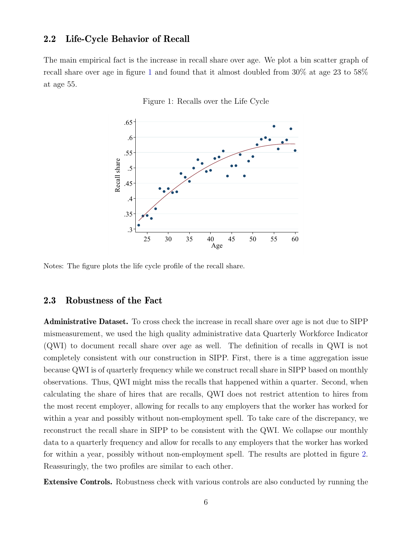#### **2.2 Life-Cycle Behavior of Recall**

<span id="page-6-0"></span>The main empirical fact is the increase in recall share over age. We plot a bin scatter graph of recall share over age in figure [1](#page-6-0) and found that it almost doubled from 30% at age 23 to 58% at age 55.

Figure 1: Recalls over the Life Cycle



Notes: The figure plots the life cycle profile of the recall share.

#### **2.3 Robustness of the Fact**

**Administrative Dataset.** To cross check the increase in recall share over age is not due to SIPP mismeasurement, we used the high quality administrative data Quarterly Workforce Indicator (QWI) to document recall share over age as well. The definition of recalls in QWI is not completely consistent with our construction in SIPP. First, there is a time aggregation issue because QWI is of quarterly frequency while we construct recall share in SIPP based on monthly observations. Thus, QWI might miss the recalls that happened within a quarter. Second, when calculating the share of hires that are recalls, QWI does not restrict attention to hires from the most recent employer, allowing for recalls to any employers that the worker has worked for within a year and possibly without non-employment spell. To take care of the discrepancy, we reconstruct the recall share in SIPP to be consistent with the QWI. We collapse our monthly data to a quarterly frequency and allow for recalls to any employers that the worker has worked for within a year, possibly without non-employment spell. The results are plotted in figure [2.](#page-7-0) Reassuringly, the two profiles are similar to each other.

**Extensive Controls.** Robustness check with various controls are also conducted by running the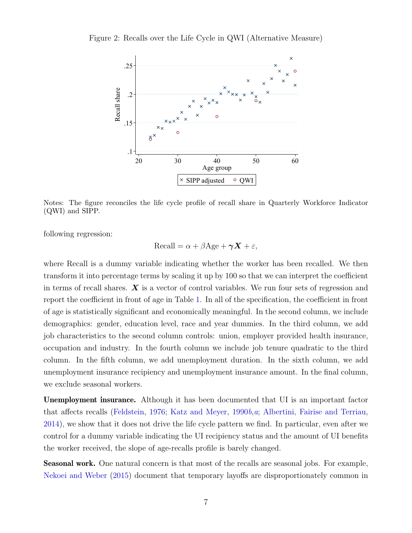<span id="page-7-0"></span>Figure 2: Recalls over the Life Cycle in QWI (Alternative Measure)



Notes: The figure reconciles the life cycle profile of recall share in Quarterly Workforce Indicator (QWI) and SIPP.

following regression:

$$
Recall = \alpha + \beta Age + \gamma X + \varepsilon,
$$

where Recall is a dummy variable indicating whether the worker has been recalled. We then transform it into percentage terms by scaling it up by 100 so that we can interpret the coefficient in terms of recall shares. *X* is a vector of control variables. We run four sets of regression and report the coefficient in front of age in Table [1.](#page-8-0) In all of the specification, the coefficient in front of age is statistically significant and economically meaningful. In the second column, we include demographics: gender, education level, race and year dummies. In the third column, we add job characteristics to the second column controls: union, employer provided health insurance, occupation and industry. In the fourth column we include job tenure quadratic to the third column. In the fifth column, we add unemployment duration. In the sixth column, we add unemployment insurance recipiency and unemployment insurance amount. In the final column, we exclude seasonal workers.

**Unemployment insurance.** Although it has been documented that UI is an important factor that affects recalls ([Feldstein](#page-24-3), [1976;](#page-24-3) [Katz and Meyer,](#page-25-7) [1990](#page-25-7)*b*,*[a](#page-25-13)*; [Albertini, Fairise and Terriau,](#page-24-4) [2014](#page-24-4)), we show that it does not drive the life cycle pattern we find. In particular, even after we control for a dummy variable indicating the UI recipiency status and the amount of UI benefits the worker received, the slope of age-recalls profile is barely changed.

**Seasonal work.** One natural concern is that most of the recalls are seasonal jobs. For example, [Nekoei and Weber](#page-25-3) ([2015](#page-25-3)) document that temporary layoffs are disproportionately common in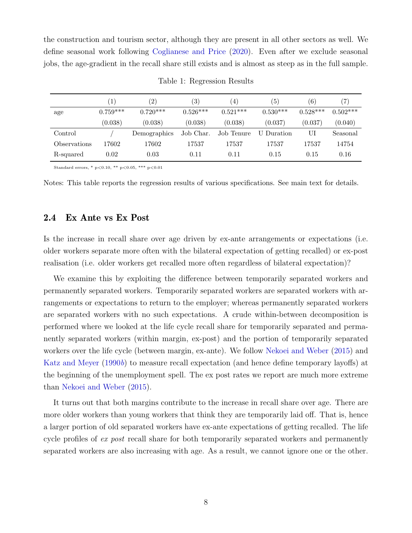the construction and tourism sector, although they are present in all other sectors as well. We define seasonal work following [Coglianese and Price](#page-24-12) [\(2020\)](#page-24-12). Even after we exclude seasonal jobs, the age-gradient in the recall share still exists and is almost as steep as in the full sample.

<span id="page-8-0"></span>

|              |            | (2)          | $\left( 3\right)$ | $\left(4\right)$ | (5)        | (6)        | 7          |
|--------------|------------|--------------|-------------------|------------------|------------|------------|------------|
| age          | $0.759***$ | $0.720***$   | $0.526***$        | $0.521***$       | $0.530***$ | $0.528***$ | $0.502***$ |
|              | (0.038)    | (0.038)      | (0.038)           | (0.038)          | (0.037)    | (0.037)    | (0.040)    |
| Control      |            | Demographics | Job Char.         | Job Tenure       | U Duration | UI         | Seasonal   |
| Observations | 17602      | 17602        | 17537             | 17537            | 17537      | 17537      | 14754      |
| R-squared    | 0.02       | 0.03         | 0.11              | 0.11             | 0.15       | 0.15       | 0.16       |

Table 1: Regression Results

Standard errors, \* p*<*0.10, \*\* p*<*0.05, \*\*\* p*<*0.01

Notes: This table reports the regression results of various specifications. See main text for details.

#### **2.4 Ex Ante vs Ex Post**

Is the increase in recall share over age driven by ex-ante arrangements or expectations (i.e. older workers separate more often with the bilateral expectation of getting recalled) or ex-post realisation (i.e. older workers get recalled more often regardless of bilateral expectation)?

We examine this by exploiting the difference between temporarily separated workers and permanently separated workers. Temporarily separated workers are separated workers with arrangements or expectations to return to the employer; whereas permanently separated workers are separated workers with no such expectations. A crude within-between decomposition is performed where we looked at the life cycle recall share for temporarily separated and permanently separated workers (within margin, ex-post) and the portion of temporarily separated workers over the life cycle (between margin, ex-ante). We follow [Nekoei and Weber](#page-25-3) ([2015](#page-25-3)) and [Katz and Meyer](#page-25-7) ([1990](#page-25-7)*b*) to measure recall expectation (and hence define temporary layoffs) at the beginning of the unemployment spell. The ex post rates we report are much more extreme than [Nekoei and Weber](#page-25-3) [\(2015\)](#page-25-3).

It turns out that both margins contribute to the increase in recall share over age. There are more older workers than young workers that think they are temporarily laid off. That is, hence a larger portion of old separated workers have ex-ante expectations of getting recalled. The life cycle profiles of *ex post* recall share for both temporarily separated workers and permanently separated workers are also increasing with age. As a result, we cannot ignore one or the other.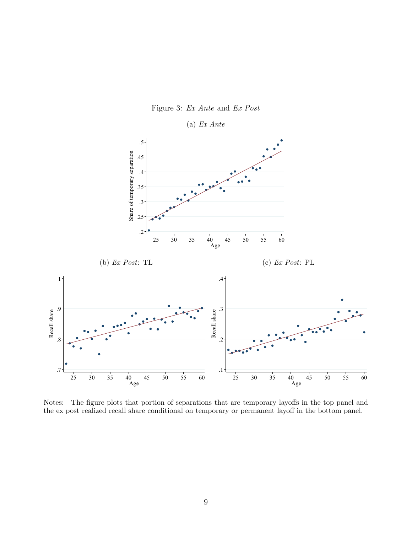

Notes: The figure plots that portion of separations that are temporary layoffs in the top panel and the ex post realized recall share conditional on temporary or permanent layoff in the bottom panel.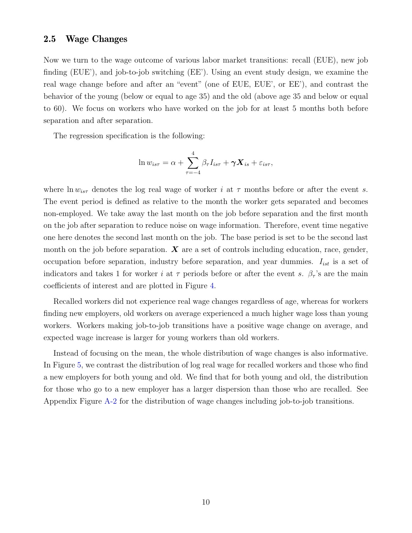#### **2.5 Wage Changes**

Now we turn to the wage outcome of various labor market transitions: recall (EUE), new job finding (EUE'), and job-to-job switching (EE'). Using an event study design, we examine the real wage change before and after an "event" (one of EUE, EUE', or EE'), and contrast the behavior of the young (below or equal to age 35) and the old (above age 35 and below or equal to 60). We focus on workers who have worked on the job for at least 5 months both before separation and after separation.

The regression specification is the following:

$$
\ln w_{is\tau} = \alpha + \sum_{\tau=-4}^{4} \beta_{\tau} I_{is\tau} + \gamma \mathbf{X}_{is} + \varepsilon_{is\tau},
$$

where  $\ln w_{is\tau}$  denotes the log real wage of worker *i* at  $\tau$  months before or after the event *s*. The event period is defined as relative to the month the worker gets separated and becomes non-employed. We take away the last month on the job before separation and the first month on the job after separation to reduce noise on wage information. Therefore, event time negative one here denotes the second last month on the job. The base period is set to be the second last month on the job before separation. *X* are a set of controls including education, race, gender, occupation before separation, industry before separation, and year dummies. *Iist* is a set of indicators and takes 1 for worker *i* at  $\tau$  periods before or after the event *s*.  $\beta_{\tau}$ 's are the main coefficients of interest and are plotted in Figure [4](#page-11-0).

Recalled workers did not experience real wage changes regardless of age, whereas for workers finding new employers, old workers on average experienced a much higher wage loss than young workers. Workers making job-to-job transitions have a positive wage change on average, and expected wage increase is larger for young workers than old workers.

Instead of focusing on the mean, the whole distribution of wage changes is also informative. In Figure [5,](#page-12-0) we contrast the distribution of log real wage for recalled workers and those who find a new employers for both young and old. We find that for both young and old, the distribution for those who go to a new employer has a larger dispersion than those who are recalled. See Appendix Figure [A-2](#page-29-0) for the distribution of wage changes including job-to-job transitions.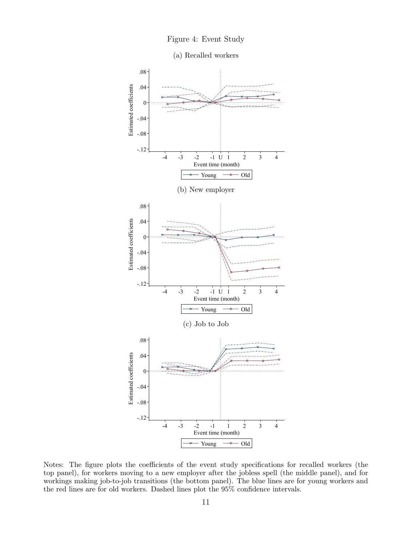

(a) Recalled workers

<span id="page-11-0"></span>

Notes: The figure plots the coefficients of the event study specifications for recalled workers (the top panel), for workers moving to a new employer after the jobless spell (the middle panel), and for workings making job-to-job transitions (the bottom panel). The blue lines are for young workers and the red lines are for old workers. Dashed lines plot the 95% confidence intervals.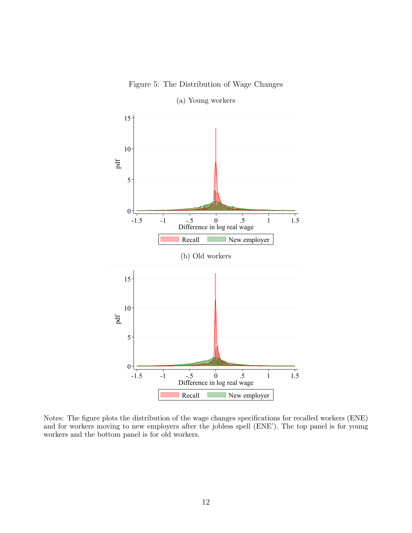Figure 5: The Distribution of Wage Changes

<span id="page-12-0"></span>

(a) Young workers

Notes: The figure plots the distribution of the wage changes specifications for recalled workers (ENE) and for workers moving to new employers after the jobless spell (ENE'). The top panel is for young workers and the bottom panel is for old workers.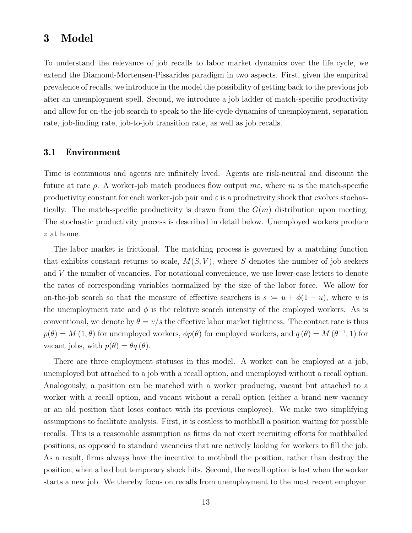## <span id="page-13-0"></span>**3 Model**

To understand the relevance of job recalls to labor market dynamics over the life cycle, we extend the Diamond-Mortensen-Pissarides paradigm in two aspects. First, given the empirical prevalence of recalls, we introduce in the model the possibility of getting back to the previous job after an unemployment spell. Second, we introduce a job ladder of match-specific productivity and allow for on-the-job search to speak to the life-cycle dynamics of unemployment, separation rate, job-finding rate, job-to-job transition rate, as well as job recalls.

#### **3.1 Environment**

Time is continuous and agents are infinitely lived. Agents are risk-neutral and discount the future at rate *ρ*. A worker-job match produces flow output *mε*, where *m* is the match-specific productivity constant for each worker-job pair and  $\varepsilon$  is a productivity shock that evolves stochastically. The match-specific productivity is drawn from the  $G(m)$  distribution upon meeting. The stochastic productivity process is described in detail below. Unemployed workers produce *z* at home.

The labor market is frictional. The matching process is governed by a matching function that exhibits constant returns to scale,  $M(S, V)$ , where *S* denotes the number of job seekers and *V* the number of vacancies. For notational convenience, we use lower-case letters to denote the rates of corresponding variables normalized by the size of the labor force. We allow for on-the-job search so that the measure of effective searchers is  $s := u + \phi(1 - u)$ , where *u* is the unemployment rate and  $\phi$  is the relative search intensity of the employed workers. As is conventional, we denote by  $\theta = v/s$  the effective labor market tightness. The contact rate is thus  $p(\theta) = M(1, \theta)$  for unemployed workers,  $\phi p(\theta)$  for employed workers, and  $q(\theta) = M(\theta^{-1}, 1)$  for vacant jobs, with  $p(\theta) = \theta q(\theta)$ .

There are three employment statuses in this model. A worker can be employed at a job, unemployed but attached to a job with a recall option, and unemployed without a recall option. Analogously, a position can be matched with a worker producing, vacant but attached to a worker with a recall option, and vacant without a recall option (either a brand new vacancy or an old position that loses contact with its previous employee). We make two simplifying assumptions to facilitate analysis. First, it is costless to mothball a position waiting for possible recalls. This is a reasonable assumption as firms do not exert recruiting efforts for mothballed positions, as opposed to standard vacancies that are actively looking for workers to fill the job. As a result, firms always have the incentive to mothball the position, rather than destroy the position, when a bad but temporary shock hits. Second, the recall option is lost when the worker starts a new job. We thereby focus on recalls from unemployment to the most recent employer.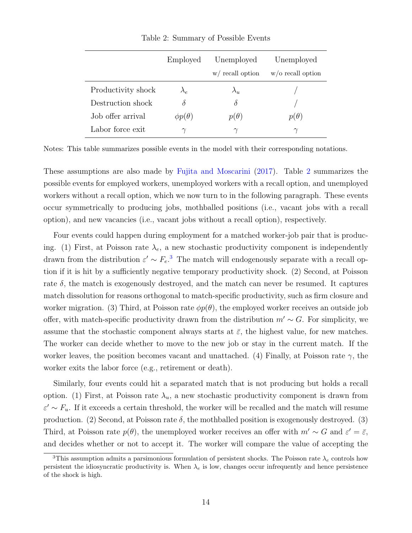<span id="page-14-0"></span>

|                    | Employed                         | Unemployed         | Unemployed           |
|--------------------|----------------------------------|--------------------|----------------------|
|                    |                                  | $w/$ recall option | $w$ /o recall option |
| Productivity shock | $\lambda_{\scriptscriptstyle P}$ | $\lambda_{u}$      |                      |
| Destruction shock  |                                  | δ                  |                      |
| Job offer arrival  | $\phi p(\theta)$                 | $p(\theta)$        | $p(\theta)$          |
| Labor force exit   | $\sim$                           | $\gamma$           | $\gamma$             |

Table 2: Summary of Possible Events

Notes: This table summarizes possible events in the model with their corresponding notations.

These assumptions are also made by [Fujita and Moscarini](#page-25-0) ([2017](#page-25-0)). Table [2](#page-14-0) summarizes the possible events for employed workers, unemployed workers with a recall option, and unemployed workers without a recall option, which we now turn to in the following paragraph. These events occur symmetrically to producing jobs, mothballed positions (i.e., vacant jobs with a recall option), and new vacancies (i.e., vacant jobs without a recall option), respectively.

Four events could happen during employment for a matched worker-job pair that is producing. (1) First, at Poisson rate  $\lambda_e$ , a new stochastic productivity component is independently drawn from the distribution  $\varepsilon' \sim F_e$ <sup>[3](#page-14-1)</sup>. The match will endogenously separate with a recall option if it is hit by a sufficiently negative temporary productivity shock. (2) Second, at Poisson rate  $\delta$ , the match is exogenously destroyed, and the match can never be resumed. It captures match dissolution for reasons orthogonal to match-specific productivity, such as firm closure and worker migration. (3) Third, at Poisson rate  $\phi p(\theta)$ , the employed worker receives an outside job offer, with match-specific productivity drawn from the distribution  $m' \sim G$ . For simplicity, we assume that the stochastic component always starts at  $\bar{\varepsilon}$ , the highest value, for new matches. The worker can decide whether to move to the new job or stay in the current match. If the worker leaves, the position becomes vacant and unattached. (4) Finally, at Poisson rate  $\gamma$ , the worker exits the labor force (e.g., retirement or death).

Similarly, four events could hit a separated match that is not producing but holds a recall option. (1) First, at Poisson rate  $\lambda_u$ , a new stochastic productivity component is drawn from  $\varepsilon' \sim F_u$ . If it exceeds a certain threshold, the worker will be recalled and the match will resume production. (2) Second, at Poisson rate  $\delta$ , the mothballed position is exogenously destroyed. (3) Third, at Poisson rate  $p(\theta)$ , the unemployed worker receives an offer with  $m' \sim G$  and  $\varepsilon' = \bar{\varepsilon}$ , and decides whether or not to accept it. The worker will compare the value of accepting the

<span id="page-14-1"></span> $\overline{3}$ This assumption admits a parsimonious formulation of persistent shocks. The Poisson rate  $\lambda_e$  controls how persistent the idiosyncratic productivity is. When  $\lambda_e$  is low, changes occur infrequently and hence persistence of the shock is high.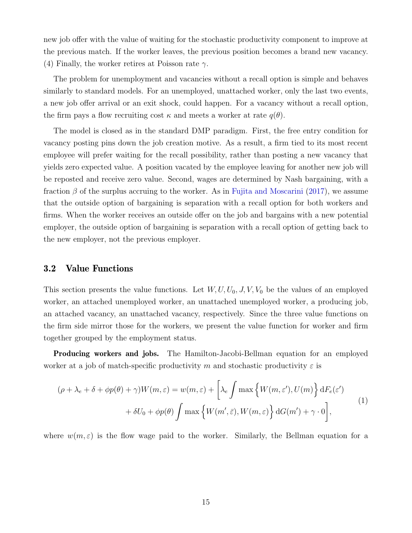new job offer with the value of waiting for the stochastic productivity component to improve at the previous match. If the worker leaves, the previous position becomes a brand new vacancy. (4) Finally, the worker retires at Poisson rate *γ*.

The problem for unemployment and vacancies without a recall option is simple and behaves similarly to standard models. For an unemployed, unattached worker, only the last two events, a new job offer arrival or an exit shock, could happen. For a vacancy without a recall option, the firm pays a flow recruiting cost  $\kappa$  and meets a worker at rate  $q(\theta)$ .

The model is closed as in the standard DMP paradigm. First, the free entry condition for vacancy posting pins down the job creation motive. As a result, a firm tied to its most recent employee will prefer waiting for the recall possibility, rather than posting a new vacancy that yields zero expected value. A position vacated by the employee leaving for another new job will be reposted and receive zero value. Second, wages are determined by Nash bargaining, with a fraction *β* of the surplus accruing to the worker. As in [Fujita and Moscarini](#page-25-0) ([2017](#page-25-0)), we assume that the outside option of bargaining is separation with a recall option for both workers and firms. When the worker receives an outside offer on the job and bargains with a new potential employer, the outside option of bargaining is separation with a recall option of getting back to the new employer, not the previous employer.

#### **3.2 Value Functions**

This section presents the value functions. Let  $W, U, U_0, J, V, V_0$  be the values of an employed worker, an attached unemployed worker, an unattached unemployed worker, a producing job, an attached vacancy, an unattached vacancy, respectively. Since the three value functions on the firm side mirror those for the workers, we present the value function for worker and firm together grouped by the employment status.

**Producing workers and jobs.** The Hamilton-Jacobi-Bellman equation for an employed worker at a job of match-specific productivity *m* and stochastic productivity  $\varepsilon$  is

<span id="page-15-0"></span>
$$
(\rho + \lambda_e + \delta + \phi p(\theta) + \gamma)W(m, \varepsilon) = w(m, \varepsilon) + \left[\lambda_e \int \max\left\{W(m, \varepsilon'), U(m)\right\} dF_e(\varepsilon') + \delta U_0 + \phi p(\theta) \int \max\left\{W(m', \bar{\varepsilon}), W(m, \varepsilon)\right\} dG(m') + \gamma \cdot 0\right],
$$
\n(1)

where  $w(m, \varepsilon)$  is the flow wage paid to the worker. Similarly, the Bellman equation for a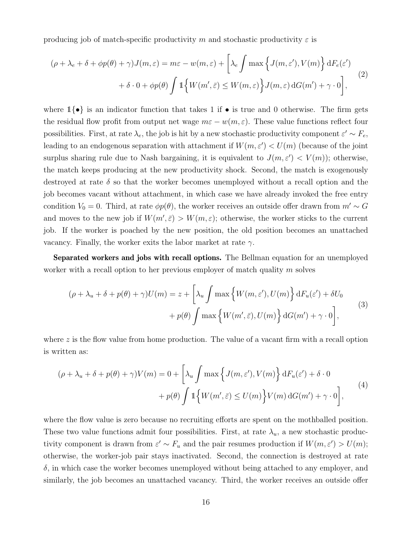producing job of match-specific productivity *m* and stochastic productivity  $\varepsilon$  is

$$
(\rho + \lambda_{e} + \delta + \phi p(\theta) + \gamma)J(m, \varepsilon) = m\varepsilon - w(m, \varepsilon) + \left[\lambda_{e} \int \max\left\{J(m, \varepsilon'), V(m)\right\} dF_{e}(\varepsilon') + \delta \cdot 0 + \phi p(\theta) \int \mathbb{1}\left\{W(m', \bar{\varepsilon}) \leq W(m, \varepsilon)\right\} J(m, \varepsilon) dG(m') + \gamma \cdot 0\right],
$$
\n(2)

where 1*{•}* is an indicator function that takes 1 if *•* is true and 0 otherwise. The firm gets the residual flow profit from output net wage  $m\varepsilon - w(m,\varepsilon)$ . These value functions reflect four possibilities. First, at rate  $\lambda_e$ , the job is hit by a new stochastic productivity component  $\varepsilon' \sim F_e$ , leading to an endogenous separation with attachment if  $W(m, \varepsilon') < U(m)$  (because of the joint surplus sharing rule due to Nash bargaining, it is equivalent to  $J(m, \varepsilon') < V(m)$ ; otherwise, the match keeps producing at the new productivity shock. Second, the match is exogenously destroyed at rate *δ* so that the worker becomes unemployed without a recall option and the job becomes vacant without attachment, in which case we have already invoked the free entry condition  $V_0 = 0$ . Third, at rate  $\phi p(\theta)$ , the worker receives an outside offer drawn from  $m' \sim G$ and moves to the new job if  $W(m', \bar{\varepsilon}) > W(m, \varepsilon)$ ; otherwise, the worker sticks to the current job. If the worker is poached by the new position, the old position becomes an unattached vacancy. Finally, the worker exits the labor market at rate *γ*.

**Separated workers and jobs with recall options.** The Bellman equation for an unemployed worker with a recall option to her previous employer of match quality *m* solves

$$
(\rho + \lambda_u + \delta + p(\theta) + \gamma)U(m) = z + \left[\lambda_u \int \max\left\{W(m, \varepsilon'), U(m)\right\} dF_u(\varepsilon') + \delta U_0 + p(\theta) \int \max\left\{W(m', \bar{\varepsilon}), U(m)\right\} dG(m') + \gamma \cdot 0\right],
$$
\n(3)

where z is the flow value from home production. The value of a vacant firm with a recall option is written as:

$$
(\rho + \lambda_u + \delta + p(\theta) + \gamma)V(m) = 0 + \left[\lambda_u \int \max\left\{J(m,\varepsilon'), V(m)\right\} dF_u(\varepsilon') + \delta \cdot 0
$$

$$
+ p(\theta) \int \mathbb{1}\left\{W(m',\bar{\varepsilon}) \le U(m)\right\} V(m) dG(m') + \gamma \cdot 0\right],
$$
<sup>(4)</sup>

where the flow value is zero because no recruiting efforts are spent on the mothballed position. These two value functions admit four possibilities. First, at rate  $\lambda_u$ , a new stochastic productivity component is drawn from  $\varepsilon' \sim F_u$  and the pair resumes production if  $W(m, \varepsilon') > U(m)$ ; otherwise, the worker-job pair stays inactivated. Second, the connection is destroyed at rate  $\delta$ , in which case the worker becomes unemployed without being attached to any employer, and similarly, the job becomes an unattached vacancy. Third, the worker receives an outside offer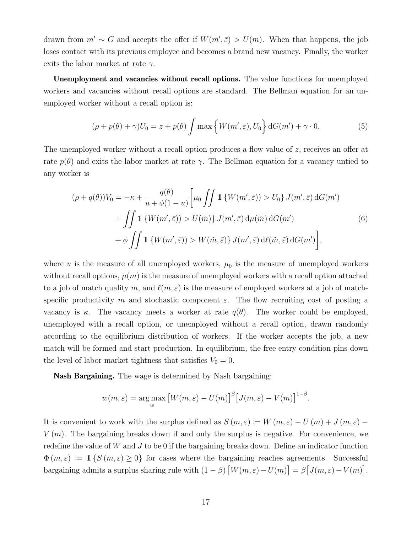drawn from  $m' \sim G$  and accepts the offer if  $W(m', \bar{\varepsilon}) > U(m)$ . When that happens, the job loses contact with its previous employee and becomes a brand new vacancy. Finally, the worker exits the labor market at rate *γ*.

**Unemployment and vacancies without recall options.** The value functions for unemployed workers and vacancies without recall options are standard. The Bellman equation for an unemployed worker without a recall option is:

<span id="page-17-0"></span>
$$
(\rho + p(\theta) + \gamma)U_0 = z + p(\theta) \int \max\left\{ W(m', \bar{\varepsilon}), U_0 \right\} dG(m') + \gamma \cdot 0. \tag{5}
$$

The unemployed worker without a recall option produces a flow value of *z*, receives an offer at rate  $p(\theta)$  and exits the labor market at rate  $\gamma$ . The Bellman equation for a vacancy untied to any worker is

$$
(\rho + q(\theta))V_0 = -\kappa + \frac{q(\theta)}{u + \phi(1 - u)} \left[ \mu_0 \iint \mathbb{1} \left\{ W(m', \bar{\varepsilon}) \right\} > U_0 \right\} J(m', \bar{\varepsilon}) \, dG(m') + \iint \mathbb{1} \left\{ W(m', \bar{\varepsilon}) \right\} > U(\tilde{m}) \right\} J(m', \bar{\varepsilon}) \, d\mu(\tilde{m}) \, dG(m') + \phi \iint \mathbb{1} \left\{ W(m', \bar{\varepsilon}) \right\} > W(\tilde{m}, \tilde{\varepsilon}) \right\} J(m', \bar{\varepsilon}) \, d\ell(\tilde{m}, \tilde{\varepsilon}) \, dG(m') \right],
$$

where  $u$  is the measure of all unemployed workers,  $\mu_0$  is the measure of unemployed workers without recall options,  $\mu(m)$  is the measure of unemployed workers with a recall option attached to a job of match quality *m*, and  $\ell(m,\varepsilon)$  is the measure of employed workers at a job of matchspecific productivity *m* and stochastic component  $\varepsilon$ . The flow recruiting cost of posting a vacancy is  $\kappa$ . The vacancy meets a worker at rate  $q(\theta)$ . The worker could be employed, unemployed with a recall option, or unemployed without a recall option, drawn randomly according to the equilibrium distribution of workers. If the worker accepts the job, a new match will be formed and start production. In equilibrium, the free entry condition pins down the level of labor market tightness that satisfies  $V_0 = 0$ .

**Nash Bargaining.** The wage is determined by Nash bargaining:

$$
w(m,\varepsilon) = \underset{w}{\arg \max} \left[ W(m,\varepsilon) - U(m) \right]^{\beta} \left[ J(m,\varepsilon) - V(m) \right]^{1-\beta}.
$$

It is convenient to work with the surplus defined as  $S(m,\varepsilon) := W(m,\varepsilon) - U(m) + J(m,\varepsilon) -$ *V* (*m*). The bargaining breaks down if and only the surplus is negative. For convenience, we redefine the value of *W* and *J* to be 0 if the bargaining breaks down. Define an indicator function  $\Phi(m,\varepsilon) := 1$   $\{S(m,\varepsilon) \geq 0\}$  for cases where the bargaining reaches agreements. Successful bargaining admits a surplus sharing rule with  $(1 - \beta) [W(m, \varepsilon) - U(m)] = \beta [J(m, \varepsilon) - V(m)].$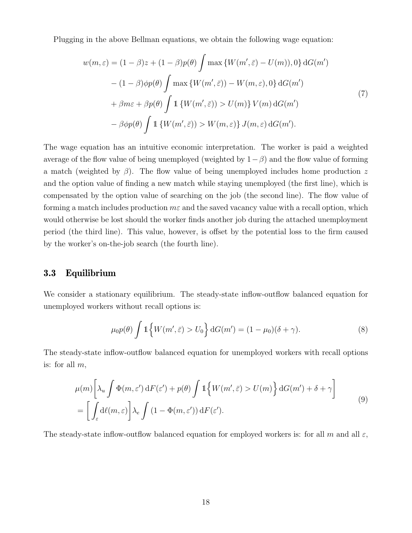Plugging in the above Bellman equations, we obtain the following wage equation:

<span id="page-18-0"></span>
$$
w(m,\varepsilon) = (1 - \beta)z + (1 - \beta)p(\theta) \int \max \{W(m', \bar{\varepsilon}) - U(m)), 0\} dG(m')
$$
  
 
$$
- (1 - \beta)\phi p(\theta) \int \max \{W(m', \bar{\varepsilon})) - W(m, \varepsilon), 0\} dG(m')
$$
  
 
$$
+ \beta m\varepsilon + \beta p(\theta) \int 1 \{W(m', \bar{\varepsilon})) > U(m)\} V(m) dG(m')
$$
  
 
$$
- \beta \phi p(\theta) \int 1 \{W(m', \bar{\varepsilon})) > W(m, \varepsilon)\} J(m, \varepsilon) dG(m').
$$
 (7)

The wage equation has an intuitive economic interpretation. The worker is paid a weighted average of the flow value of being unemployed (weighted by 1*−β*) and the flow value of forming a match (weighted by *β*). The flow value of being unemployed includes home production *z* and the option value of finding a new match while staying unemployed (the first line), which is compensated by the option value of searching on the job (the second line). The flow value of forming a match includes production *mε* and the saved vacancy value with a recall option, which would otherwise be lost should the worker finds another job during the attached unemployment period (the third line). This value, however, is offset by the potential loss to the firm caused by the worker's on-the-job search (the fourth line).

#### **3.3 Equilibrium**

We consider a stationary equilibrium. The steady-state inflow-outflow balanced equation for unemployed workers without recall options is:

<span id="page-18-1"></span>
$$
\mu_0 p(\theta) \int \mathbb{1}\left\{W(m',\bar{\varepsilon}) > U_0\right\} dG(m') = (1 - \mu_0)(\delta + \gamma). \tag{8}
$$

The steady-state inflow-outflow balanced equation for unemployed workers with recall options is: for all *m*,

$$
\mu(m) \left[ \lambda_u \int \Phi(m, \varepsilon') \, dF(\varepsilon') + p(\theta) \int 1 \left\{ W(m', \bar{\varepsilon}) > U(m) \right\} dG(m') + \delta + \gamma \right]
$$
  
= 
$$
\left[ \int_{\varepsilon} d\ell(m, \varepsilon) \right] \lambda_e \int (1 - \Phi(m, \varepsilon')) dF(\varepsilon').
$$
 (9)

The steady-state inflow-outflow balanced equation for employed workers is: for all  $m$  and all  $\varepsilon$ ,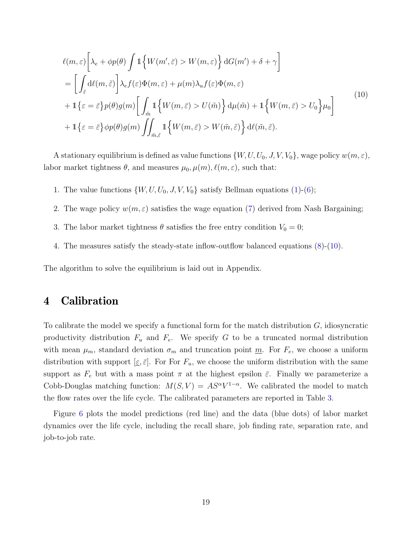<span id="page-19-1"></span>
$$
\ell(m,\varepsilon) \left[ \lambda_{\varepsilon} + \phi p(\theta) \int \mathbb{1} \left\{ W(m',\bar{\varepsilon}) > W(m,\varepsilon) \right\} \mathrm{d}G(m') + \delta + \gamma \right]
$$
\n
$$
= \left[ \int_{\tilde{\varepsilon}} \mathrm{d}\ell(m,\tilde{\varepsilon}) \right] \lambda_{\varepsilon} f(\varepsilon) \Phi(m,\varepsilon) + \mu(m) \lambda_u f(\varepsilon) \Phi(m,\varepsilon)
$$
\n
$$
+ \mathbb{1} \left\{ \varepsilon = \bar{\varepsilon} \right\} p(\theta) g(m) \left[ \int_{\tilde{m}} \mathbb{1} \left\{ W(m,\bar{\varepsilon}) > U(\tilde{m}) \right\} \mathrm{d} \mu(\tilde{m}) + \mathbb{1} \left\{ W(m,\bar{\varepsilon}) > U_0 \right\} \mu_0 \right]
$$
\n
$$
+ \mathbb{1} \left\{ \varepsilon = \bar{\varepsilon} \right\} \phi p(\theta) g(m) \int_{\tilde{m},\tilde{\varepsilon}} \mathbb{1} \left\{ W(m,\bar{\varepsilon}) > W(\tilde{m},\tilde{\varepsilon}) \right\} \mathrm{d}\ell(\tilde{m},\tilde{\varepsilon}).
$$
\n(10)

A stationary equilibrium is defined as value functions  $\{W, U, U_0, J, V, V_0\}$ , wage policy  $w(m, \varepsilon)$ , labor market tightness  $\theta$ , and measures  $\mu_0, \mu(m), \ell(m, \varepsilon)$ , such that:

- 1. The value functions  $\{W, U, U_0, J, V, V_0\}$  satisfy Bellman equations [\(1](#page-15-0))-[\(6](#page-17-0));
- 2. The wage policy  $w(m, \varepsilon)$  satisfies the wage equation ([7\)](#page-18-0) derived from Nash Bargaining;
- 3. The labor market tightness  $\theta$  satisfies the free entry condition  $V_0 = 0$ ;
- 4. The measures satisfy the steady-state inflow-outflow balanced equations ([8\)](#page-18-1)-([10](#page-19-1)).

The algorithm to solve the equilibrium is laid out in Appendix.

## <span id="page-19-0"></span>**4 Calibration**

To calibrate the model we specify a functional form for the match distribution *G*, idiosyncratic productivity distribution  $F_u$  and  $F_e$ . We specify  $G$  to be a truncated normal distribution with mean  $\mu_m$ , standard deviation  $\sigma_m$  and truncation point <u>m</u>. For  $F_e$ , we choose a uniform distribution with support  $[\underline{\varepsilon}, \overline{\varepsilon}]$ . For For  $F_u$ , we choose the uniform distribution with the same support as  $F_e$  but with a mass point  $\pi$  at the highest epsilon  $\bar{\varepsilon}$ . Finally we parameterize a Cobb-Douglas matching function:  $M(S, V) = AS^{\alpha}V^{1-\alpha}$ . We calibrated the model to match the flow rates over the life cycle. The calibrated parameters are reported in Table [3.](#page-20-0)

Figure [6](#page-21-0) plots the model predictions (red line) and the data (blue dots) of labor market dynamics over the life cycle, including the recall share, job finding rate, separation rate, and job-to-job rate.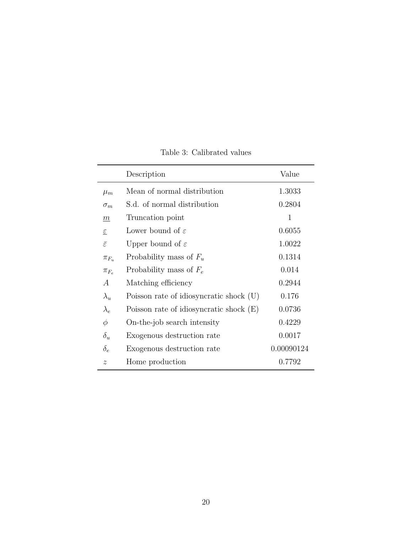<span id="page-20-0"></span>

|                           | Description                               | Value      |
|---------------------------|-------------------------------------------|------------|
| $\mu_m$                   | Mean of normal distribution               | 1.3033     |
| $\sigma_m$                | S.d. of normal distribution               | 0.2804     |
| m                         | Truncation point                          | 1          |
| $\underline{\varepsilon}$ | Lower bound of $\varepsilon$              | 0.6055     |
| $\bar{\varepsilon}$       | Upper bound of $\varepsilon$              | 1.0022     |
| $\pi_{F_u}$               | Probability mass of $F_u$                 | 0.1314     |
| $\pi_{F_e}$               | Probability mass of $F_e$                 | 0.014      |
| $\overline{A}$            | Matching efficiency                       | 0.2944     |
| $\lambda_u$               | Poisson rate of idiosyncratic shock (U)   | 0.176      |
| $\lambda_e$               | Poisson rate of idiosyncratic shock $(E)$ | 0.0736     |
| $\phi$                    | On-the-job search intensity               | 0.4229     |
| $\delta_u$                | Exogenous destruction rate                | 0.0017     |
| $\delta_e$                | Exogenous destruction rate                | 0.00090124 |
| $\tilde{z}$               | Home production                           | 0.7792     |

Table 3: Calibrated values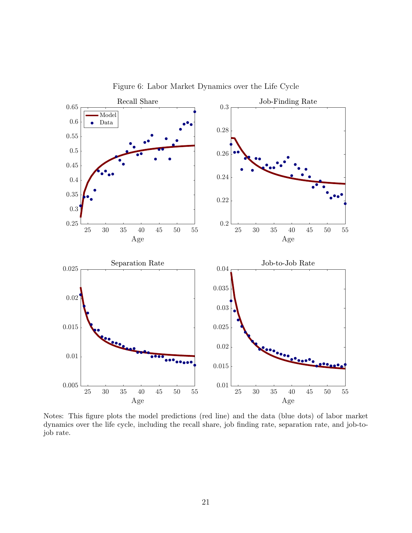<span id="page-21-0"></span>

Figure 6: Labor Market Dynamics over the Life Cycle

Notes: This figure plots the model predictions (red line) and the data (blue dots) of labor market dynamics over the life cycle, including the recall share, job finding rate, separation rate, and job-tojob rate.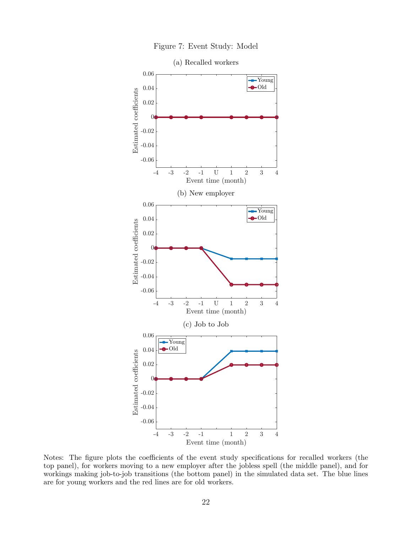

Figure 7: Event Study: Model

Notes: The figure plots the coefficients of the event study specifications for recalled workers (the top panel), for workers moving to a new employer after the jobless spell (the middle panel), and for workings making job-to-job transitions (the bottom panel) in the simulated data set. The blue lines are for young workers and the red lines are for old workers.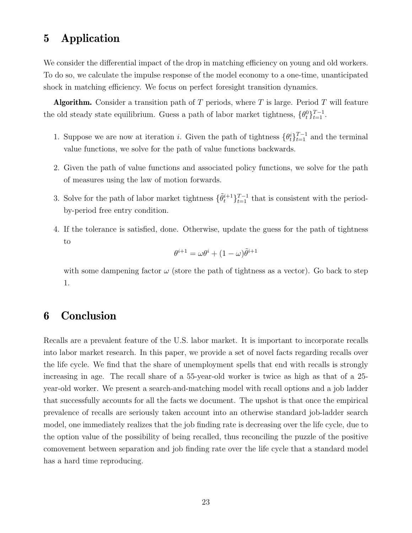## <span id="page-23-0"></span>**5 Application**

We consider the differential impact of the drop in matching efficiency on young and old workers. To do so, we calculate the impulse response of the model economy to a one-time, unanticipated shock in matching efficiency. We focus on perfect foresight transition dynamics.

**Algorithm.** Consider a transition path of *T* periods, where *T* is large. Period *T* will feature the old steady state equilibrium. Guess a path of labor market tightness,  $\{\theta_t^0\}_{t=1}^{T-1}$ .

- 1. Suppose we are now at iteration *i*. Given the path of tightness  ${\theta_t^i}_{t=1}^{T-1}$  and the terminal value functions, we solve for the path of value functions backwards.
- 2. Given the path of value functions and associated policy functions, we solve for the path of measures using the law of motion forwards.
- 3. Solve for the path of labor market tightness  $\{\tilde{\theta}_t^{i+1}\}_{t=1}^{T-1}$  that is consistent with the periodby-period free entry condition.
- 4. If the tolerance is satisfied, done. Otherwise, update the guess for the path of tightness to

$$
\theta^{i+1} = \omega \theta^i + (1 - \omega)\tilde{\theta}^{i+1}
$$

with some dampening factor  $\omega$  (store the path of tightness as a vector). Go back to step 1.

## <span id="page-23-1"></span>**6 Conclusion**

Recalls are a prevalent feature of the U.S. labor market. It is important to incorporate recalls into labor market research. In this paper, we provide a set of novel facts regarding recalls over the life cycle. We find that the share of unemployment spells that end with recalls is strongly increasing in age. The recall share of a 55-year-old worker is twice as high as that of a 25 year-old worker. We present a search-and-matching model with recall options and a job ladder that successfully accounts for all the facts we document. The upshot is that once the empirical prevalence of recalls are seriously taken account into an otherwise standard job-ladder search model, one immediately realizes that the job finding rate is decreasing over the life cycle, due to the option value of the possibility of being recalled, thus reconciling the puzzle of the positive comovement between separation and job finding rate over the life cycle that a standard model has a hard time reproducing.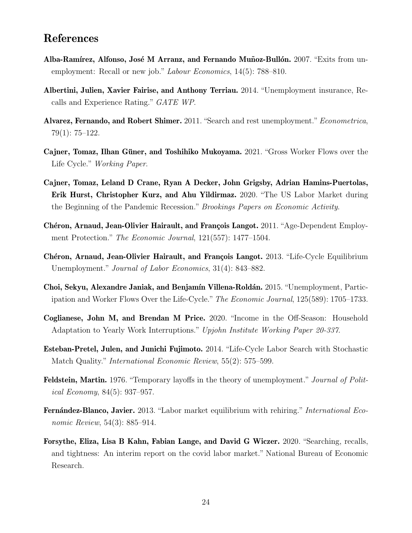## **References**

- <span id="page-24-2"></span>**Alba-Ramírez, Alfonso, José M Arranz, and Fernando Muñoz-Bullón.** 2007. "Exits from unemployment: Recall or new job." *Labour Economics*, 14(5): 788–810.
- <span id="page-24-4"></span>**Albertini, Julien, Xavier Fairise, and Anthony Terriau.** 2014. "Unemployment insurance, Recalls and Experience Rating." *GATE WP*.
- <span id="page-24-6"></span>**Alvarez, Fernando, and Robert Shimer.** 2011. "Search and rest unemployment."*Econometrica*, 79(1): 75–122.
- <span id="page-24-11"></span>**Cajner, Tomaz, Ilhan Güner, and Toshihiko Mukoyama.** 2021. "Gross Worker Flows over the Life Cycle." *Working Paper*.
- <span id="page-24-0"></span>**Cajner, Tomaz, Leland D Crane, Ryan A Decker, John Grigsby, Adrian Hamins-Puertolas, Erik Hurst, Christopher Kurz, and Ahu Yildirmaz.** 2020. "The US Labor Market during the Beginning of the Pandemic Recession." *Brookings Papers on Economic Activity*.
- <span id="page-24-8"></span>**Chéron, Arnaud, Jean-Olivier Hairault, and François Langot.** 2011. "Age-Dependent Employment Protection." *The Economic Journal*, 121(557): 1477–1504.
- <span id="page-24-9"></span>**Chéron, Arnaud, Jean-Olivier Hairault, and François Langot.** 2013. "Life-Cycle Equilibrium Unemployment." *Journal of Labor Economics*, 31(4): 843–882.
- <span id="page-24-7"></span>**Choi, Sekyu, Alexandre Janiak, and Benjamín Villena-Roldán.** 2015. "Unemployment, Participation and Worker Flows Over the Life-Cycle." *The Economic Journal*, 125(589): 1705–1733.
- <span id="page-24-12"></span>**Coglianese, John M, and Brendan M Price.** 2020. "Income in the Off-Season: Household Adaptation to Yearly Work Interruptions." *Upjohn Institute Working Paper 20-337*.
- <span id="page-24-10"></span>**Esteban-Pretel, Julen, and Junichi Fujimoto.** 2014. "Life-Cycle Labor Search with Stochastic Match Quality." *International Economic Review*, 55(2): 575–599.
- <span id="page-24-3"></span>**Feldstein, Martin.** 1976. "Temporary layoffs in the theory of unemployment." *Journal of Political Economy*, 84(5): 937–957.
- <span id="page-24-5"></span>**Fernández-Blanco, Javier.** 2013. "Labor market equilibrium with rehiring." *International Economic Review*, 54(3): 885–914.
- <span id="page-24-1"></span>**Forsythe, Eliza, Lisa B Kahn, Fabian Lange, and David G Wiczer.** 2020. "Searching, recalls, and tightness: An interim report on the covid labor market." National Bureau of Economic Research.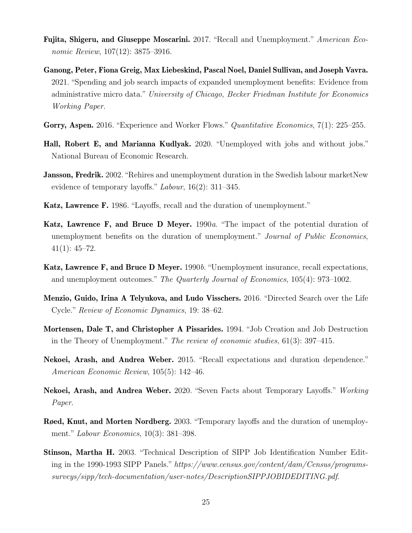- <span id="page-25-0"></span>**Fujita, Shigeru, and Giuseppe Moscarini.** 2017. "Recall and Unemployment." *American Economic Review*, 107(12): 3875–3916.
- <span id="page-25-1"></span>**Ganong, Peter, Fiona Greig, Max Liebeskind, Pascal Noel, Daniel Sullivan, and Joseph Vavra.** 2021. "Spending and job search impacts of expanded unemployment benefits: Evidence from administrative micro data." *University of Chicago, Becker Friedman Institute for Economics Working Paper*.
- <span id="page-25-11"></span>**Gorry, Aspen.** 2016. "Experience and Worker Flows." *Quantitative Economics*, 7(1): 225–255.
- <span id="page-25-2"></span>**Hall, Robert E, and Marianna Kudlyak.** 2020. "Unemployed with jobs and without jobs." National Bureau of Economic Research.
- <span id="page-25-4"></span>**Jansson, Fredrik.** 2002. "Rehires and unemployment duration in the Swedish labour marketNew evidence of temporary layoffs." *Labour*, 16(2): 311–345.
- <span id="page-25-6"></span>**Katz, Lawrence F.** 1986. "Layoffs, recall and the duration of unemployment."
- <span id="page-25-13"></span>**Katz, Lawrence F, and Bruce D Meyer.** 1990*a*. "The impact of the potential duration of unemployment benefits on the duration of unemployment." *Journal of Public Economics*,  $41(1): 45-72.$
- <span id="page-25-7"></span>**Katz, Lawrence F, and Bruce D Meyer.** 1990*b*. "Unemployment insurance, recall expectations, and unemployment outcomes." *The Quarterly Journal of Economics*, 105(4): 973–1002.
- <span id="page-25-10"></span>**Menzio, Guido, Irina A Telyukova, and Ludo Visschers.** 2016. "Directed Search over the Life Cycle." *Review of Economic Dynamics*, 19: 38–62.
- <span id="page-25-9"></span>**Mortensen, Dale T, and Christopher A Pissarides.** 1994. "Job Creation and Job Destruction in the Theory of Unemployment." *The review of economic studies*, 61(3): 397–415.
- <span id="page-25-3"></span>**Nekoei, Arash, and Andrea Weber.** 2015. "Recall expectations and duration dependence." *American Economic Review*, 105(5): 142–46.
- <span id="page-25-8"></span>**Nekoei, Arash, and Andrea Weber.** 2020. "Seven Facts about Temporary Layoffs." *Working Paper*.
- <span id="page-25-5"></span>**Røed, Knut, and Morten Nordberg.** 2003. "Temporary layoffs and the duration of unemployment." *Labour Economics*, 10(3): 381–398.
- <span id="page-25-12"></span>**Stinson, Martha H.** 2003. "Technical Description of SIPP Job Identification Number Editing in the 1990-1993 SIPP Panels." *https://www.census.gov/content/dam/Census/programssurveys/sipp/tech-documentation/user-notes/DescriptionSIPPJOBIDEDITING.pdf*.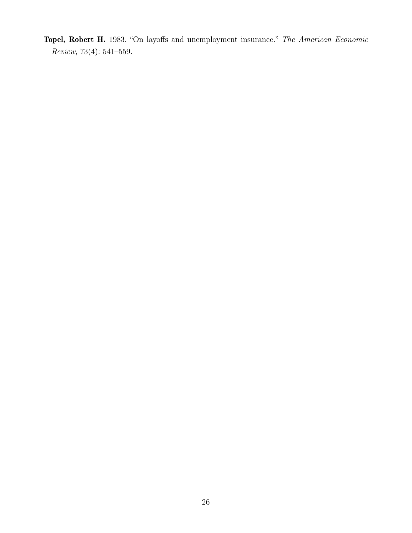<span id="page-26-0"></span>**Topel, Robert H.** 1983. "On layoffs and unemployment insurance." *The American Economic Review*, 73(4): 541–559.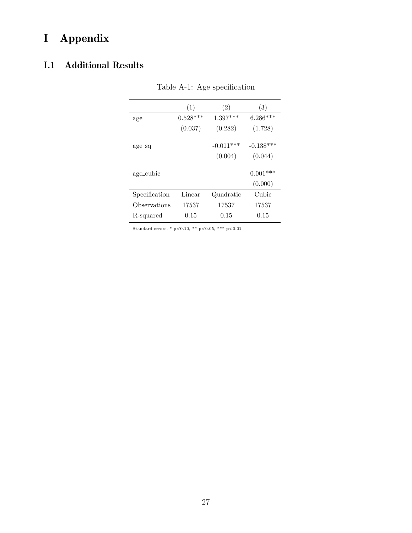# **I Appendix**

## **I.1 Additional Results**

|               | (1)        | (2)         | (3)         |
|---------------|------------|-------------|-------------|
| age           | $0.528***$ | $1.397***$  | $6.286***$  |
|               | (0.037)    | (0.282)     | (1.728)     |
| age_sq        |            | $-0.011***$ | $-0.138***$ |
|               |            | (0.004)     | (0.044)     |
| age_cubic     |            |             | $0.001***$  |
|               |            |             | (0.000)     |
| Specification | Linear     | Quadratic   | Cubic       |
| Observations  | 17537      | 17537       | 17537       |
| R-squared     | 0.15       | 0.15        | 0.15        |

Table A-1: Age specification

Standard errors, \* p*<*0.10, \*\* p*<*0.05, \*\*\* p*<*0.01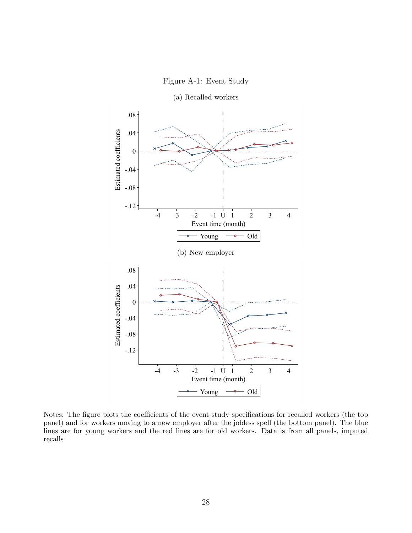



Notes: The figure plots the coefficients of the event study specifications for recalled workers (the top panel) and for workers moving to a new employer after the jobless spell (the bottom panel). The blue lines are for young workers and the red lines are for old workers. Data is from all panels, imputed recalls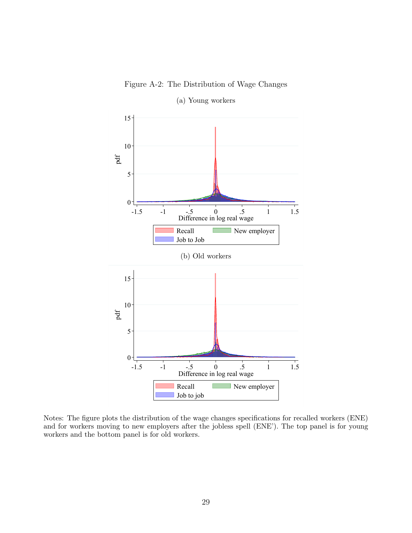Figure A-2: The Distribution of Wage Changes

<span id="page-29-0"></span>

(a) Young workers

Notes: The figure plots the distribution of the wage changes specifications for recalled workers (ENE) and for workers moving to new employers after the jobless spell (ENE'). The top panel is for young workers and the bottom panel is for old workers.